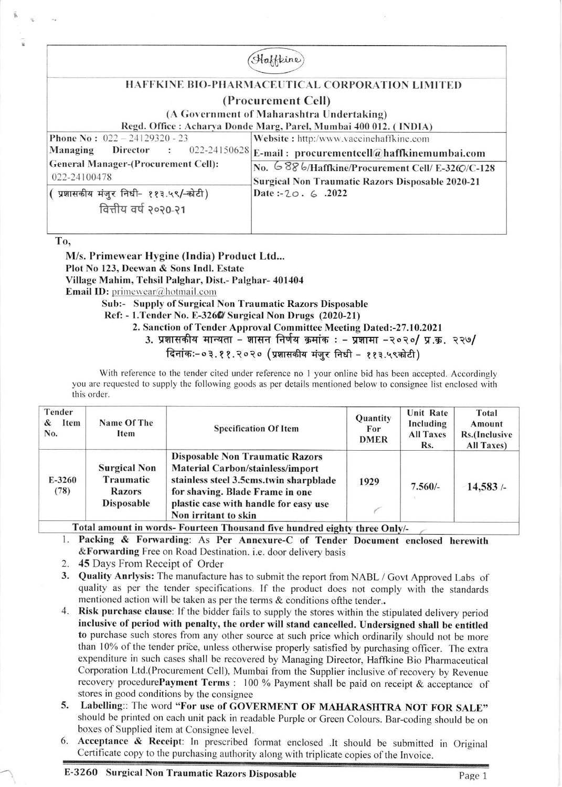Haffkine HAFFKINE BIO-PHARMACEUTICAL CORPORATION LIMITED ( Procurement Cell) (A Government of Maharashtra Undertaking) Regd. Office : Acharya Donde Marg, Parel, Mumbai 400 012. ( INDIA) **Phone No: 022 - 24129320 - 23** Website : http:/www.vaccinehaffkine.com Managing Director :  $022\text{-}24150628\big|_{\text{E-mail}}$ : procurementcell@haffkinemumbai.com General Manager-(Procurement Cell): No. 6886/Haffkine/Procurement Cell/ E-3260/C-128 022-24100478 Surgical Non Traumatic Razors Disposable 2020-21 ( प्रशासकीय मंजूर निधी- ११३.५९/-कोटी) Datc:-Zo. 6 .2022 वित्तीय वर्ष २०२०-२१

To,

M/s. Primewear Hygine (India) Product Ltd... Plot No 123, Deewan & Sons Indl. Estate Village Mahim, Tehsil Palghar, Dist.- Palghar- 401404 **Email ID:** primewear@hotmail.com

Sub:- Supply of Surgical Non Traumatic Razors Disposable

Ref: - 1. Tender No. E-3260/ Surgical Non Drugs (2020-21)

2. Sanction of Tender Approval Committee Meeting Dated:-27.10.2021

3. प्रशासकीय मान्यता - शासन निर्णय क्रमांक : - प्रशामा -२०२०/ प्र.क्र. २२७/

दिनांकः-०३.११.२०२० (प्रशासकीय मंजर निधी - ११३.५९कोटी)

With reference to the tender cited under reference no 1 your online bid has been accepted. Accordingly you are requested to supply the following goods as per details mentioned below to consignee list enclosed with this order.

| Tender<br>Item<br>&<br>No. | Name Of The<br>Item                                                    | <b>Specification Of Item</b>                                                                                                                                                                                                    | Quantity<br>For<br><b>DMER</b> | Unit Rate<br>Including<br><b>All Taxes</b><br>Rs. | Total<br>Amount<br>Rs.(Inclusive<br>All Taxes) |
|----------------------------|------------------------------------------------------------------------|---------------------------------------------------------------------------------------------------------------------------------------------------------------------------------------------------------------------------------|--------------------------------|---------------------------------------------------|------------------------------------------------|
| $E-3260$<br>(78)           | <b>Surgical Non</b><br>Traumatic<br><b>Razors</b><br><b>Disposable</b> | <b>Disposable Non Traumatic Razors</b><br><b>Material Carbon/stainless/import</b><br>stainless steel 3.5cms.twin sharpblade<br>for shaving. Blade Frame in one<br>plastic case with handle for easy use<br>Non irritant to skin | 1929                           | $7.560/-$                                         | 14,583/                                        |

Total amount in words- Fourteen Thousand five hundred eighty three Only/-

- 1. Packing & Forwarding: As Per Annexure-C of Tender Document enclosed herewith &Forwarding Free on Road Destination. i.e. door delivery basis
- 2. 45 Days From Receipt of Order
- 3. Quality Anrlysis: The manufacture has to submit the report from NABL / Govt Approved Labs of quality as per the tender specifications. If the product does not comply with the standards mentioned action will be taken as per the terms & conditions of the tender..
- 4. Risk purchase clause: If the bidder fails to supply the stores within the stipulared delivery period inclusive of period with penalty, the order will stand cancelled. Undersigned shall be entitled to purchase such stores from any other source at such price which ordinarily should not be more than 10% of the tender price, unless otherwise properly satisfied by purchasing officer. The extra expenditure in such cases shall be recovered by Managing Director, Haffkine Bio Pharmaceutical Corporation Ltd.(Procurement Cell), Mumbai from the Supplier inclusive of recovery by Revenue recovery procedurePayment Terms : 100 % Payment shall be paid on receipt & acceptance of stores in good conditions by the consignee
- 5. Labelling:: The word "For use of GOVERMENT OF MAHARASHTRA NOT FOR SALE" should be printed on each unit pack in readable Purple or Creen Colours. Bar-coding should be on boxes of Supplied item at Consignee level.
- 6. Acceptance & Receipt: In prescribed format enclosed .lt should be submitted in Original Certificate copy to the purchasing authority along with triplicate copies of the Invoice.